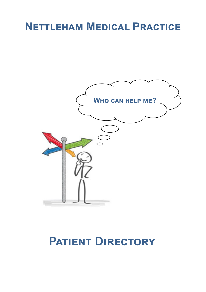# **Nettleham Medical Practice**



# **Patient Directory**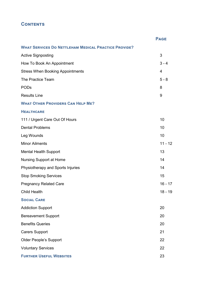# **Contents**

|                                                             | <b>PAGE</b> |
|-------------------------------------------------------------|-------------|
| <b>WHAT SERVICES DO NETTLEHAM MEDICAL PRACTICE PROVIDE?</b> |             |
| <b>Active Signposting</b>                                   | 3           |
| How To Book An Appointment                                  | $3 - 4$     |
| <b>Stress When Booking Appointments</b>                     | 4           |
| The Practice Team                                           | $5 - 8$     |
| PODs                                                        | 8           |
| <b>Results Line</b>                                         | 9           |
| <b>WHAT OTHER PROVIDERS CAN HELP ME?</b>                    |             |
| <b>HEALTHCARE</b>                                           |             |
| 111 / Urgent Care Out Of Hours                              | 10          |
| <b>Dental Problems</b>                                      | 10          |
| Leg Wounds                                                  | 10          |
| <b>Minor Ailments</b>                                       | $11 - 12$   |
| Mental Health Support                                       | 13          |
| Nursing Support at Home                                     | 14          |
| Physiotherapy and Sports Injuries                           | 14          |
| <b>Stop Smoking Services</b>                                | 15          |
| <b>Pregnancy Related Care</b>                               | $16 - 17$   |
| Child Health                                                | $18 - 19$   |
| <b>SOCIAL CARE</b>                                          |             |
| <b>Addiction Support</b>                                    | 20          |
| <b>Bereavement Support</b>                                  | 20          |
| <b>Benefits Queries</b>                                     | 20          |
| <b>Carers Support</b>                                       | 21          |
| Older People's Support                                      | 22          |
| <b>Voluntary Services</b>                                   | 22          |
| <b>FURTHER USEFUL WEBSITES</b>                              | 23          |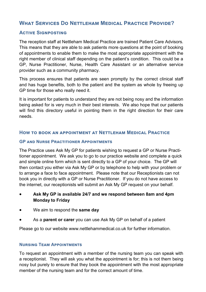# **What Services Do Nettleham Medical Practice Provide?**

# **Active Signposting**

The reception staff at Nettleham Medical Practice are trained Patient Care Advisors. This means that they are able to ask patients more questions at the point of booking of appointments to enable them to make the most appropriate appointment with the right member of clinical staff depending on the patient's condition. This could be a GP, Nurse Practitioner, Nurse, Health Care Assistant or an alternative service provider such as a community pharmacy.

This process ensures that patients are seen promptly by the correct clinical staff and has huge benefits, both to the patient and the system as whole by freeing up GP time for those who really need it.

It is important for patients to understand they are not being nosy and the information being asked for is very much in their best interests. We also hope that our patients will find this directory useful in pointing them in the right direction for their care needs.

# **How to book an appointment at Nettleham Medical Practice**

#### **GP and Nurse Practitioner Appointments**

The Practice uses Ask My GP for patients wishing to request a GP or Nurse Practitioner appointment. We ask you to go to our practice website and complete a quick and simple online form which is sent directly to a GP of your choice. The GP will then contact you either via Ask My GP or by telephone to help with your problem or to arrange a face to face appointment. Please note that our Receptionists can not book you in directly with a GP or Nurse Practitioner. If you do not have access to the internet, our receptionists will submit an Ask My GP request on your behalf.

- **Ask My GP is available 24/7 and we respond between 8am and 4pm Monday to Friday**
- We aim to respond the **same day**
- As a **parent or carer** you can use Ask My GP on behalf of a patient

Please go to our website www.nettlehammedical.co.uk for further information.

#### **Nursing Team Appointments**

To request an appointment with a member of the nursing team you can speak with a receptionist. They will ask you what the appointment is for; this is not them being nosy but purely to ensure that they book the appointment with the most appropriate member of the nursing team and for the correct amount of time.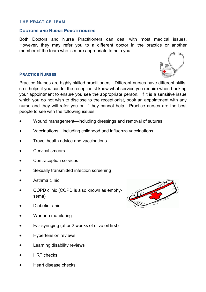# **The Practice Team**

#### **Doctors and Nurse Practitioners**

Both Doctors and Nurse Practitioners can deal with most medical issues. However, they may refer you to a different doctor in the practice or another member of the team who is more appropriate to help you.

#### **Practice Nurses**

Practice Nurses are highly skilled practitioners. Different nurses have different skills, so it helps if you can let the receptionist know what service you require when booking your appointment to ensure you see the appropriate person. If it is a sensitive issue which you do not wish to disclose to the receptionist, book an appointment with any nurse and they will refer you on if they cannot help. Practice nurses are the best people to see with the following issues:

- Wound management—including dressings and removal of sutures
- Vaccinations—including childhood and influenza vaccinations
- Travel health advice and vaccinations
- Cervical smears
- Contraception services
- Sexually transmitted infection screening
- Asthma clinic
- COPD clinic (COPD is also known as emphysema)
- Diabetic clinic
- Warfarin monitoring
- Ear syringing (after 2 weeks of olive oil first)
- Hypertension reviews
- Learning disability reviews
- HRT checks
- Heart disease checks



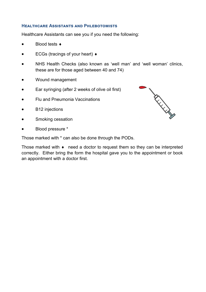#### **Healthcare Assistants and Phlebotomists**

Healthcare Assistants can see you if you need the following:

- **Blood tests ♦**
- $\bullet$  ECGs (tracings of your heart)  $\bullet$
- NHS Health Checks (also known as 'well man' and 'well woman' clinics, these are for those aged between 40 and 74)
- Wound management
- Ear syringing (after 2 weeks of olive oil first)
- Flu and Pneumonia Vaccinations
- B12 injections
- Smoking cessation
- Blood pressure \*

Those marked with \* can also be done through the PODs.

Those marked with  $\bullet$  need a doctor to request them so they can be interpreted correctly. Either bring the form the hospital gave you to the appointment or book an appointment with a doctor first.

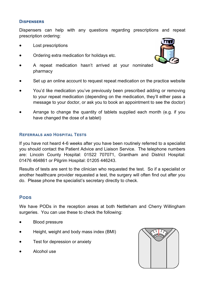#### **Dispensers**

Dispensers can help with any questions regarding prescriptions and repeat prescription ordering:

- Lost prescriptions
- Ordering extra medication for holidays etc.



- A repeat medication hasn't arrived at your nominated pharmacy
- Set up an online account to request repeat medication on the practice website
- You'd like medication you've previously been prescribed adding or removing to your repeat medication (depending on the medication, they'll either pass a message to your doctor, or ask you to book an appointment to see the doctor)
- Arrange to change the quantity of tablets supplied each month (e.g. if you have changed the dose of a tablet)

#### **Referrals and Hospital Tests**

If you have not heard 4-6 weeks after you have been routinely referred to a specialist you should contact the Patient Advice and Liaison Service. The telephone numbers are: Lincoln County Hospital: 01522 707071, Grantham and District Hospital: 01476 464861 or Pilgrim Hospital: 01205 446243.

Results of tests are sent to the clinician who requested the test. So if a specialist or another healthcare provider requested a test, the surgery will often find out after you do. Please phone the specialist's secretary directly to check.

# **Pods**

We have PODs in the reception areas at both Nettleham and Cherry Willingham surgeries. You can use these to check the following:

- Blood pressure
- Height, weight and body mass index (BMI)
- Test for depression or anxiety
- Alcohol use

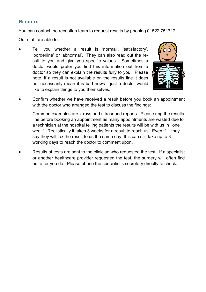# **Results**

You can contact the reception team to request results by phoning 01522 751717.

Our staff are able to:

 Tell you whether a result is 'normal', 'satisfactory', 'borderline' or 'abnormal'. They can also read out the result to you and give you specific values. Sometimes a doctor would prefer you find this information out from a doctor so they can explain the results fully to you. Please note, if a result is not available on the results line it does not necessarily mean it is bad news - just a doctor would like to explain things to you themselves.

![](_page_6_Picture_4.jpeg)

 Confirm whether we have received a result before you book an appointment with the doctor who arranged the test to discuss the findings:

Common examples are x-rays and ultrasound reports. Please ring the results line before booking an appointment as many appointments are wasted due to a technician at the hospital telling patients the results will be with us in 'one week'. Realistically it takes 3 weeks for a result to reach us. Even if they say they will fax the result to us the same day, this can still take up to 3 working days to reach the doctor to comment upon.

 Results of tests are sent to the clinician who requested the test. If a specialist or another healthcare provider requested the test, the surgery will often find out after you do. Please phone the specialist's secretary directly to check.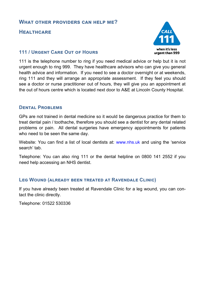# **What other providers can help me?**

# **Healthcare**

# whon it's loss urgent than 999

# **111 / Urgent Care Out of Hours**

111 is the telephone number to ring if you need medical advice or help but it is not urgent enough to ring 999. They have healthcare advisors who can give you general health advice and information. If you need to see a doctor overnight or at weekends, ring 111 and they will arrange an appropriate assessment. If they feel you should see a doctor or nurse practitioner out of hours, they will give you an appointment at the out of hours centre which is located next door to A&E at Lincoln County Hospital.

# **Dental Problems**

GPs are not trained in dental medicine so it would be dangerous practice for them to treat dental pain / toothache, therefore you should see a dentist for any dental related problems or pain. All dental surgeries have emergency appointments for patients who need to be seen the same day.

Website: You can find a list of local dentists at: www.nhs.uk and using the 'service search' tab.

Telephone: You can also ring 111 or the dental helpline on 0800 141 2552 if you need help accessing an NHS dentist.

# **Leg Wound (already been treated at Ravendale Clinic)**

If you have already been treated at Ravendale Clinic for a leg wound, you can contact the clinic directly.

Telephone: 01522 530336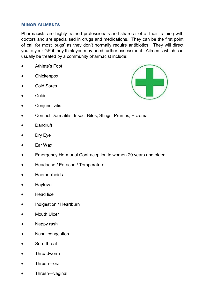# **Minor Ailments**

Pharmacists are highly trained professionals and share a lot of their training with doctors and are specialised in drugs and medications. They can be the first point of call for most 'bugs' as they don't normally require antibiotics. They will direct you to your GP if they think you may need further assessment. Ailments which can usually be treated by a community pharmacist include:

- Athlete's Foot
- **Chickenpox**
- Cold Sores
- Colds
	- **Conjunctivitis**

![](_page_8_Picture_7.jpeg)

- Contact Dermatitis, Insect Bites, Stings, Pruritus, Eczema
- **Dandruff**
- Dry Eye
- Ear Wax
- Emergency Hormonal Contraception in women 20 years and older
- Headache / Earache / Temperature
- **Haemorrhoids**
- Hayfever
- Head lice
- Indigestion / Heartburn
- Mouth Ulcer
- Nappy rash
- Nasal congestion
- Sore throat
- Threadworm
- Thrush—oral
- Thrush—vaginal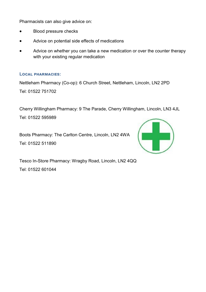Pharmacists can also give advice on:

- Blood pressure checks
- Advice on potential side effects of medications
- Advice on whether you can take a new medication or over the counter therapy with your existing regular medication

#### **Local pharmacies:**

Nettleham Pharmacy (Co-op): 6 Church Street, Nettleham, Lincoln, LN2 2PD

Tel: 01522 751702

Cherry Willingham Pharmacy: 9 The Parade, Cherry Willingham, Lincoln, LN3 4JL

Tel: 01522 595989

Boots Pharmacy: The Carlton Centre, Lincoln, LN2 4WA Tel: 01522 511890

![](_page_9_Picture_10.jpeg)

Tesco In-Store Pharmacy: Wragby Road, Lincoln, LN2 4QQ Tel: 01522 601044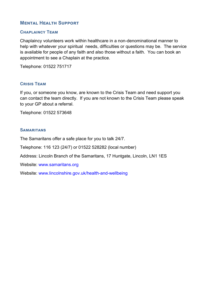# **Mental Health Support**

#### **Chaplaincy Team**

Chaplaincy volunteers work within healthcare in a non-denominational manner to help with whatever your spiritual needs, difficulties or questions may be. The service is available for people of any faith and also those without a faith. You can book an appointment to see a Chaplain at the practice.

Telephone: 01522 751717

# **Crisis Team**

If you, or someone you know, are known to the Crisis Team and need support you can contact the team directly. If you are not known to the Crisis Team please speak to your GP about a referral.

Telephone: 01522 573648

#### **SAMARITANS**

The Samaritans offer a safe place for you to talk 24/7.

Telephone: 116 123 (24/7) or 01522 528282 (local number)

Address: Lincoln Branch of the Samaritans, 17 Huntgate, Lincoln, LN1 1ES

Website: www.samaritans.org

Website: www.lincolnshire.gov.uk/health-and-wellbeing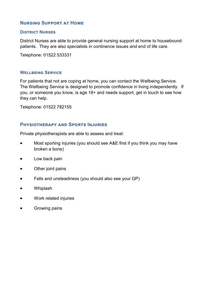# **Nursing Support at Home**

#### **District Nurses**

District Nurses are able to provide general nursing support at home to housebound patients. They are also specialists in continence issues and end of life care.

Telephone: 01522 533331

#### **Wellbeing Service**

For patients that not are coping at home, you can contact the Wellbeing Service. The Wellbeing Service is designed to promote confidence in living independently. If you, or someone you know, is age 18+ and needs support, get in touch to see how they can help.

Telephone: 01522 782155

# **Physiotherapy and Sports Injuries**

Private physiotherapists are able to assess and treat:

- Most sporting injuries (you should see A&E first if you think you may have broken a bone)
- Low back pain
- Other joint pains
- Falls and unsteadiness (you should also see your GP)
- Whiplash
- Work related injuries
- Growing pains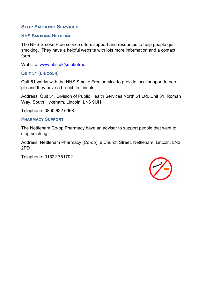# **Stop Smoking Services**

#### **NHS Smoking Helpline**

The NHS Smoke Free service offers support and resources to help people quit smoking. They have a helpful website with lots more information and a contact form.

Website: www.nhs.uk/smokefree

# **Quit 51 (Lincoln)**

Quit 51 works with the NHS Smoke Free service to provide local support to people and they have a branch in Lincoln.

Address: Quit 51, Division of Public Health Services North 51 Ltd, Unit 31, Roman Way, South Hykeham, Lincoln, LN6 9UH

Telephone: 0800 622 6968

#### **Pharmacy Support**

The Nettleham Co-op Pharmacy have an advisor to support people that want to stop smoking.

Address: Nettleham Pharmacy (Co-op), 6 Church Street, Nettleham, Lincoln, LN2 2PD

Telephone: 01522 751702

![](_page_12_Picture_12.jpeg)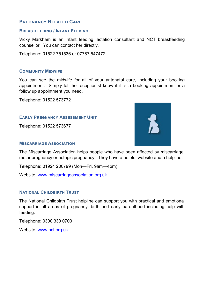# **PREGNANCY RELATED CARE**

#### **Breastfeeding / Infant Feeding**

Vicky Markham is an infant feeding lactation consultant and NCT breastfeeding counsellor. You can contact her directly.

Telephone: 01522 751536 or 07787 547472

#### **COMMUNITY MIDWIFE**

You can see the midwife for all of your antenatal care, including your booking appointment. Simply let the receptionist know if it is a booking appointment or a follow up appointment you need.

Telephone: 01522 573772

#### **Early Pregnancy Assessment Unit**

Telephone: 01522 573677

![](_page_13_Picture_9.jpeg)

#### **Miscarriage Association**

The Miscarriage Association helps people who have been affected by miscarriage, molar pregnancy or ectopic pregnancy. They have a helpful website and a helpline.

Telephone: 01924 200799 (Mon—Fri, 9am—4pm)

Website: www.miscarriageassociation.org.uk

#### **NATIONAL CHILDBIRTH TRUST**

The National Childbirth Trust helpline can support you with practical and emotional support in all areas of pregnancy, birth and early parenthood including help with feeding.

Telephone: 0300 330 0700

Website: www.nct.org.uk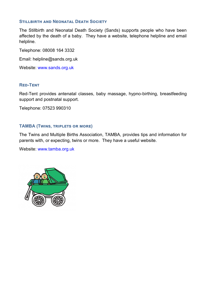#### **STILLBIRTH AND NEONATAL DEATH SOCIETY**

The Stillbirth and Neonatal Death Society (Sands) supports people who have been affected by the death of a baby. They have a website, telephone helpline and email helpline.

Telephone: 08008 164 3332

Email: helpline@sands.org.uk

Website: www.sands.org.uk

#### **Red-Tent**

Red-Tent provides antenatal classes, baby massage, hypno-birthing, breastfeeding support and postnatal support.

Telephone: 07523 990310

#### **TAMBA (Twins, triplets or more)**

The Twins and Multiple Births Association, TAMBA, provides tips and information for parents with, or expecting, twins or more. They have a useful website.

Website: www.tamba.org.uk

![](_page_14_Picture_11.jpeg)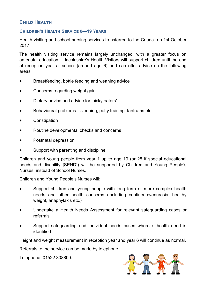# **Child Health**

#### **Children's Health Service 0—19 Years**

Health visiting and school nursing services transferred to the Council on 1st October 2017.

The health visiting service remains largely unchanged, with a greater focus on antenatal education. Lincolnshire's Health Visitors will support children until the end of reception year at school (around age 6) and can offer advice on the following areas:

- Breastfeeding, bottle feeding and weaning advice
- Concerns regarding weight gain
- Dietary advice and advice for 'picky eaters'
- Behavioural problems—sleeping, potty training, tantrums etc.
- **•** Constipation
- Routine developmental checks and concerns
- Postnatal depression
- Support with parenting and discipline

Children and young people from year 1 up to age 19 (or 25 if special educational needs and disability [SEND]) will be supported by Children and Young People's Nurses, instead of School Nurses.

Children and Young People's Nurses will:

- Support children and young people with long term or more complex health needs and other health concerns (including continence/enuresis, healthy weight, anaphylaxis etc.)
- Undertake a Health Needs Assessment for relevant safeguarding cases or referrals
- Support safeguarding and individual needs cases where a health need is identified

Height and weight measurement in reception year and year 6 will continue as normal.

Referrals to the service can be made by telephone.

Telephone: 01522 308800.

![](_page_15_Picture_20.jpeg)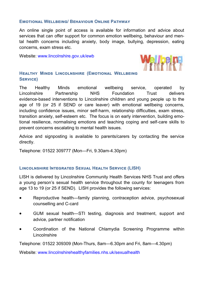#### **Emotional Wellbeing/ Behaviour Online Pathway**

An online single point of access is available for information and advice about services that can offer support for common emotion wellbeing, behaviour and mental health concerns including anxiety, body image, bullying, depression, eating concerns, exam stress etc.

Website: www.lincolnshire.gov.uk/ewb

![](_page_16_Picture_3.jpeg)

#### **Healthy Minds Lincolnshire (Emotional Wellbeing Service)**

The Healthy Minds emotional wellbeing service, operated by Lincolnshire Partnership NHS Foundation Trust delivers evidence-based interventions to Lincolnshire children and young people up to the age of 19 (or 25 if SEND or care leaver) with emotional wellbeing concerns, including confidence issues, minor self-harm, relationship difficulties, exam stress, transition anxiety, self-esteem etc. The focus is on early intervention, building emotional resilience, normalising emotions and teaching coping and self-care skills to prevent concerns escalating to mental health issues.

Advice and signposting is available to parents/carers by contacting the service directly.

Telephone: 01522 309777 (Mon—Fri, 9.30am-4.30pm)

#### **Lincolnshire Integrated Sexual Health Service (LISH)**

LISH is delivered by Lincolnshire Community Health Services NHS Trust and offers a young person's sexual health service throughout the county for teenagers from age 13 to 19 (or 25 if SEND). LISH provides the following services:

- Reproductive health—family planning, contraception advice, psychosexual counselling and C-card
- GUM sexual health—STI testing, diagnosis and treatment, support and advice, partner notification
- Coordination of the National Chlamydia Screening Programme within Lincolnshire

Telephone: 01522 309309 (Mon-Thurs, 8am—6.30pm and Fri, 8am—4.30pm)

Website: www.lincolnshirehealthyfamilies.nhs.uk/sexualhealth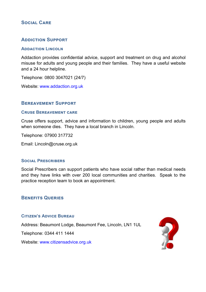# **Social Care**

# **Addiction Support**

#### **ADDACTION LINCOLN**

Addaction provides confidential advice, support and treatment on drug and alcohol misuse for adults and young people and their families. They have a useful website and a 24 hour helpline.

Telephone: 0800 3047021 (24/7)

Website: www.addaction.org.uk

# **Bereavement Support**

#### **Cruse Bereavement care**

Cruse offers support, advice and information to children, young people and adults when someone dies. They have a local branch in Lincoln.

Telephone: 07900 317732

Email: Lincoln@cruse.org.uk

#### **Social Prescribers**

Social Prescribers can support patients who have social rather than medical needs and they have links with over 200 local communities and charities. Speak to the practice reception team to book an appointment.

# **Benefits Queries**

#### **Citizen's Advice Bureau**

Address: Beaumont Lodge, Beaumont Fee, Lincoln, LN1 1UL

Telephone: 0344 411 1444

Website: www.citizensadvice.org.uk

![](_page_17_Picture_18.jpeg)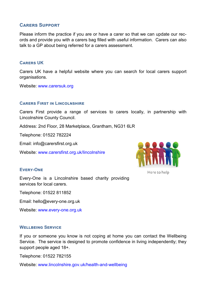# **Carers Support**

Please inform the practice if you are or have a carer so that we can update our records and provide you with a carers bag filled with useful information. Carers can also talk to a GP about being referred for a carers assessment.

#### **Carers UK**

Carers UK have a helpful website where you can search for local carers support organisations.

Website: www.carersuk.org

#### **Carers First in Lincolnshire**

Carers First provide a range of services to carers locally, in partnership with Lincolnshire County Council.

Address: 2nd Floor, 28 Marketplace, Grantham, NG31 6LR

Telephone: 01522 782224

Email: info@carersfirst.org.uk

Website: www.carersfirst.org.uk/lincolnshire

![](_page_18_Picture_11.jpeg)

Here to help

# **Every-One**

Every-One is a Lincolnshire based charity providing services for local carers.

Telephone: 01522 811852

Email: hello@every-one.org.uk

Website: www.every-one.org.uk

#### **WELLBEING SERVICE**

If you or someone you know is not coping at home you can contact the Wellbeing Service. The service is designed to promote confidence in living independently; they support people aged 18+.

Telephone: 01522 782155

Website: www.lincolnshire.gov.uk/health-and-wellbeing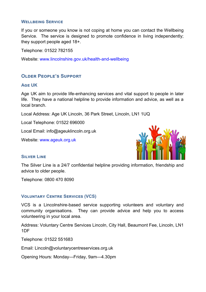#### **WELLBEING SERVICE**

If you or someone you know is not coping at home you can contact the Wellbeing Service. The service is designed to promote confidence in living independently; they support people aged 18+.

Telephone: 01522 782155

Website: www.lincolnshire.gov.uk/health-and-wellbeing

# **Older People's Support**

#### **Age UK**

Age UK aim to provide life-enhancing services and vital support to people in later life. They have a national helpline to provide information and advice, as well as a local branch.

Local Address: Age UK Lincoln, 36 Park Street, Lincoln, LN1 1UQ

Local Telephone: 01522 696000

Local Email: info@ageuklincoln.org.uk

Website: www.ageuk.org.uk

![](_page_19_Picture_11.jpeg)

#### **Silver Line**

The Silver Line is a 24/7 confidential helpline providing information, friendship and advice to older people.

Telephone: 0800 470 8090

#### **Voluntary Centre Services (VCS)**

VCS is a Lincolnshire-based service supporting volunteers and voluntary and community organisations. They can provide advice and help you to access volunteering in your local area.

Address: Voluntary Centre Services Lincoln, City Hall, Beaumont Fee, Lincoln, LN1 1DF

Telephone: 01522 551683

Email: Lincoln@voluntarycentreservices.org.uk

Opening Hours: Monday—Friday, 9am—4.30pm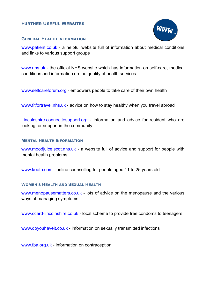# **Further Useful Websites**

![](_page_20_Picture_1.jpeg)

#### **General Health Information**

www.patient.co.uk - a helpful website full of information about medical conditions and links to various support groups

www.nhs.uk - the official NHS website which has information on self-care, medical conditions and information on the quality of health services

www.selfcareforum.org - empowers people to take care of their own health

www.fitfortravel.nhs.uk - advice on how to stay healthy when you travel abroad

Lincolnshire.connecttosupport.org - information and advice for resident who are looking for support in the community

#### **Mental Health Information**

www.moodjuice.scot.nhs.uk - a website full of advice and support for people with mental health problems

www.kooth.com - online counselling for people aged 11 to 25 years old

#### **Women's Health and Sexual Health**

www.menopausematters.co.uk - lots of advice on the menopause and the various ways of managing symptoms

www.ccard-lincolnshire.co.uk - local scheme to provide free condoms to teenagers

www.doyouhaveit.co.uk - information on sexually transmitted infections

www.fpa.org.uk - information on contraception